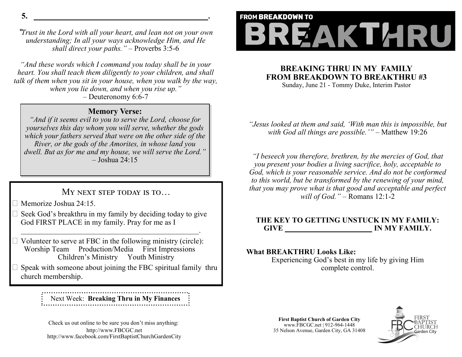**5. \_\_\_\_\_\_\_\_\_\_\_\_\_\_\_\_\_\_\_\_\_\_\_\_\_\_\_\_\_\_\_\_\_\_\_\_\_\_\_\_\_\_\_\_\_\_.**

"*Trust in the Lord with all your heart, and lean not on your own understanding; In all your ways acknowledge Him, and He shall direct your paths."* – Proverbs 3:5-6

*"And these words which I command you today shall be in your heart. You shall teach them diligently to your children, and shall talk of them when you sit in your house, when you walk by the way, when you lie down, and when you rise up."*

– Deuteronomy 6:6-7

## **Memory Verse:**

*"And if it seems evil to you to serve the Lord, choose for yourselves this day whom you will serve, whether the gods which your fathers served that were on the other side of the River, or the gods of the Amorites, in whose land you dwell. But as for me and my house, we will serve the Lord."*  – Joshua 24:15

# MY NEXT STEP TODAY IS TO...

Memorize Joshua 24:15.

 $\Box$  Seek God's breakthru in my family by deciding today to give God FIRST PLACE in my family. Pray for me as I

 $\mathcal{L}_\text{max} = \mathcal{L}_\text{max} = \mathcal{L}_\text{max} = \mathcal{L}_\text{max} = \mathcal{L}_\text{max} = \mathcal{L}_\text{max} = \mathcal{L}_\text{max}$ 

 $\Box$  Volunteer to serve at FBC in the following ministry (circle): Worship Team Production/Media First Impressions Children's Ministry Youth Ministry

 $\Box$  Speak with someone about joining the FBC spiritual family thru church membership.

> Next Week: **Breaking Thru in My Finances**

Check us out online to be sure you don't miss anything: http://www.FBCGC.net http://www.facebook.com/FirstBaptistChurchGardenCity

# **FROM BREAKDOWN TO** BREAKTARU

## **BREAKING THRU IN MY FAMILY FROM BREAKDOWN TO BREAKTHRU #3**

Sunday, June 21 - Tommy Duke, Interim Pastor

*"Jesus looked at them and said, 'With man this is impossible, but with God all things are possible.'"* – Matthew 19:26

*"I beseech you therefore, brethren, by the mercies of God, that you present your bodies a living sacrifice, holy, acceptable to God, which is your reasonable service. And do not be conformed to this world, but be transformed by the renewing of your mind, that you may prove what is that good and acceptable and perfect will of God."* – Romans 12:1-2

### **THE KEY TO GETTING UNSTUCK IN MY FAMILY:** GIVE **IN MY FAMILY.**

### **What BREAKTHRU Looks Like:**

Experiencing God's best in my life by giving Him complete control.

**First Baptist Church of Garden City** www.FBCGC.net | 912-964-1448 35 Nelson Avenue, Garden City, GA 31408